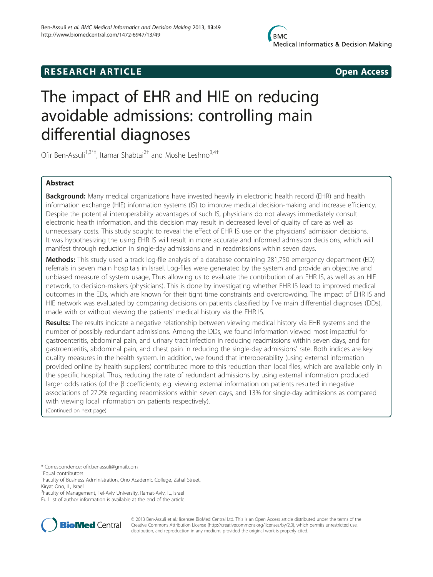# **RESEARCH ARTICLE Example 2014 CONSIDERING CONSIDERING CONSIDERING CONSIDERING CONSIDERING CONSIDERING CONSIDERING CONSIDERING CONSIDERING CONSIDERING CONSIDERING CONSIDERING CONSIDERING CONSIDERING CONSIDERING CONSIDE**

# The impact of EHR and HIE on reducing avoidable admissions: controlling main differential diagnoses

Ofir Ben-Assuli<sup>1,3\*†</sup>, Itamar Shabtai<sup>2†</sup> and Moshe Leshno<sup>3,4†</sup>

## Abstract

Background: Many medical organizations have invested heavily in electronic health record (EHR) and health information exchange (HIE) information systems (IS) to improve medical decision-making and increase efficiency. Despite the potential interoperability advantages of such IS, physicians do not always immediately consult electronic health information, and this decision may result in decreased level of quality of care as well as unnecessary costs. This study sought to reveal the effect of EHR IS use on the physicians' admission decisions. It was hypothesizing the using EHR IS will result in more accurate and informed admission decisions, which will manifest through reduction in single-day admissions and in readmissions within seven days.

Methods: This study used a track log-file analysis of a database containing 281,750 emergency department (ED) referrals in seven main hospitals in Israel. Log-files were generated by the system and provide an objective and unbiased measure of system usage, Thus allowing us to evaluate the contribution of an EHR IS, as well as an HIE network, to decision-makers (physicians). This is done by investigating whether EHR IS lead to improved medical outcomes in the EDs, which are known for their tight time constraints and overcrowding. The impact of EHR IS and HIE network was evaluated by comparing decisions on patients classified by five main differential diagnoses (DDs), made with or without viewing the patients' medical history via the EHR IS.

Results: The results indicate a negative relationship between viewing medical history via EHR systems and the number of possibly redundant admissions. Among the DDs, we found information viewed most impactful for gastroenteritis, abdominal pain, and urinary tract infection in reducing readmissions within seven days, and for gastroenteritis, abdominal pain, and chest pain in reducing the single-day admissions' rate. Both indices are key quality measures in the health system. In addition, we found that interoperability (using external information provided online by health suppliers) contributed more to this reduction than local files, which are available only in the specific hospital. Thus, reducing the rate of redundant admissions by using external information produced larger odds ratios (of the β coefficients; e.g. viewing external information on patients resulted in negative associations of 27.2% regarding readmissions within seven days, and 13% for single-day admissions as compared with viewing local information on patients respectively).

(Continued on next page)

\* Correspondence: [ofir.benassuli@gmail.com](mailto:ofir.benassuli@gmail.com) †

Equal contributors

<sup>1</sup> Faculty of Business Administration, Ono Academic College, Zahal Street, Kiryat Ono, IL, Israel

<sup>3</sup> Faculty of Management, Tel-Aviv University, Ramat-Aviv, IL, Israel Full list of author information is available at the end of the article



© 2013 Ben-Assuli et al.; licensee BioMed Central Ltd. This is an Open Access article distributed under the terms of the Creative Commons Attribution License (<http://creativecommons.org/licenses/by/2.0>), which permits unrestricted use, distribution, and reproduction in any medium, provided the original work is properly cited.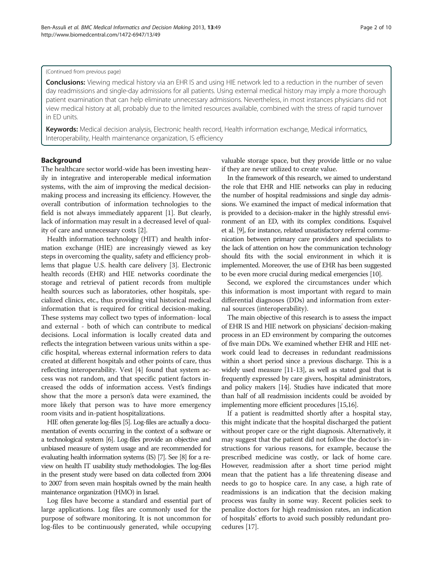#### (Continued from previous page)

Conclusions: Viewing medical history via an EHR IS and using HIE network led to a reduction in the number of seven day readmissions and single-day admissions for all patients. Using external medical history may imply a more thorough patient examination that can help eliminate unnecessary admissions. Nevertheless, in most instances physicians did not view medical history at all, probably due to the limited resources available, combined with the stress of rapid turnover in ED units.

Keywords: Medical decision analysis, Electronic health record, Health information exchange, Medical informatics, Interoperability, Health maintenance organization, IS efficiency

## Background

The healthcare sector world-wide has been investing heavily in integrative and interoperable medical information systems, with the aim of improving the medical decisionmaking process and increasing its efficiency. However, the overall contribution of information technologies to the field is not always immediately apparent [[1](#page-9-0)]. But clearly, lack of information may result in a decreased level of quality of care and unnecessary costs [[2\]](#page-9-0).

Health information technology (HIT) and health information exchange (HIE) are increasingly viewed as key steps in overcoming the quality, safety and efficiency problems that plague U.S. health care delivery [\[3](#page-9-0)]. Electronic health records (EHR) and HIE networks coordinate the storage and retrieval of patient records from multiple health sources such as laboratories, other hospitals, specialized clinics, etc., thus providing vital historical medical information that is required for critical decision-making. These systems may collect two types of information- local and external - both of which can contribute to medical decisions. Local information is locally created data and reflects the integration between various units within a specific hospital, whereas external information refers to data created at different hospitals and other points of care, thus reflecting interoperability. Vest [\[4](#page-9-0)] found that system access was not random, and that specific patient factors increased the odds of information access. Vest's findings show that the more a person's data were examined, the more likely that person was to have more emergency room visits and in-patient hospitalizations.

HIE often generate log-files [\[5](#page-9-0)]. Log-files are actually a documentation of events occurring in the context of a software or a technological system [\[6](#page-9-0)]. Log-files provide an objective and unbiased measure of system usage and are recommended for evaluating health information systems (IS) [\[7](#page-9-0)]. See [\[8](#page-9-0)] for a review on health IT usability study methodologies. The log-files in the present study were based on data collected from 2004 to 2007 from seven main hospitals owned by the main health maintenance organization (HMO) in Israel.

Log files have become a standard and essential part of large applications. Log files are commonly used for the purpose of software monitoring. It is not uncommon for log-files to be continuously generated, while occupying valuable storage space, but they provide little or no value if they are never utilized to create value.

In the framework of this research, we aimed to understand the role that EHR and HIE networks can play in reducing the number of hospital readmissions and single day admissions. We examined the impact of medical information that is provided to a decision-maker in the highly stressful environment of an ED, with its complex conditions. Esquivel et al. [[9](#page-9-0)], for instance, related unsatisfactory referral communication between primary care providers and specialists to the lack of attention on how the communication technology should fits with the social environment in which it is implemented. Moreover, the use of EHR has been suggested to be even more crucial during medical emergencies [\[10](#page-9-0)].

Second, we explored the circumstances under which this information is most important with regard to main differential diagnoses (DDs) and information from external sources (interoperability).

The main objective of this research is to assess the impact of EHR IS and HIE network on physicians' decision-making process in an ED environment by comparing the outcomes of five main DDs. We examined whether EHR and HIE network could lead to decreases in redundant readmissions within a short period since a previous discharge. This is a widely used measure [\[11-13](#page-9-0)], as well as stated goal that is frequently expressed by care givers, hospital administrators, and policy makers [\[14](#page-9-0)]. Studies have indicated that more than half of all readmission incidents could be avoided by implementing more efficient procedures [\[15,16\]](#page-9-0).

If a patient is readmitted shortly after a hospital stay, this might indicate that the hospital discharged the patient without proper care or the right diagnosis. Alternatively, it may suggest that the patient did not follow the doctor's instructions for various reasons, for example, because the prescribed medicine was costly, or lack of home care. However, readmission after a short time period might mean that the patient has a life threatening disease and needs to go to hospice care. In any case, a high rate of readmissions is an indication that the decision making process was faulty in some way. Recent policies seek to penalize doctors for high readmission rates, an indication of hospitals' efforts to avoid such possibly redundant procedures [\[17\]](#page-9-0).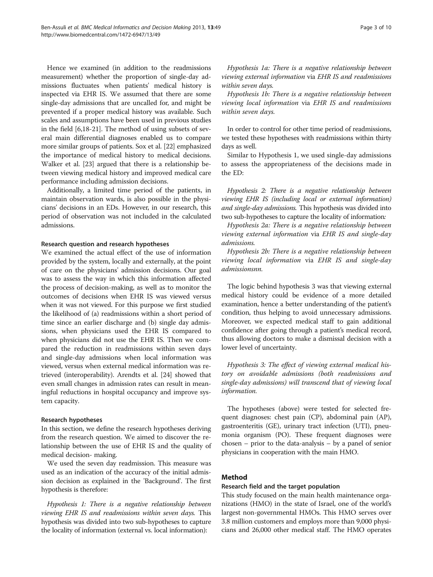Hence we examined (in addition to the readmissions measurement) whether the proportion of single-day admissions fluctuates when patients' medical history is inspected via EHR IS. We assumed that there are some single-day admissions that are uncalled for, and might be prevented if a proper medical history was available. Such scales and assumptions have been used in previous studies in the field [\[6,18-21\]](#page-9-0). The method of using subsets of several main differential diagnoses enabled us to compare more similar groups of patients. Sox et al. [\[22\]](#page-9-0) emphasized the importance of medical history to medical decisions. Walker et al. [[23\]](#page-9-0) argued that there is a relationship between viewing medical history and improved medical care performance including admission decisions.

Additionally, a limited time period of the patients, in maintain observation wards, is also possible in the physicians' decisions in an EDs. However, in our research, this period of observation was not included in the calculated admissions.

#### Research question and research hypotheses

We examined the actual effect of the use of information provided by the system, locally and externally, at the point of care on the physicians' admission decisions. Our goal was to assess the way in which this information affected the process of decision-making, as well as to monitor the outcomes of decisions when EHR IS was viewed versus when it was not viewed. For this purpose we first studied the likelihood of (a) readmissions within a short period of time since an earlier discharge and (b) single day admissions, when physicians used the EHR IS compared to when physicians did not use the EHR IS. Then we compared the reduction in readmissions within seven days and single-day admissions when local information was viewed, versus when external medical information was retrieved (interoperability). Arendts et al. [\[24\]](#page-9-0) showed that even small changes in admission rates can result in meaningful reductions in hospital occupancy and improve system capacity.

#### Research hypotheses

In this section, we define the research hypotheses deriving from the research question. We aimed to discover the relationship between the use of EHR IS and the quality of medical decision- making.

We used the seven day readmission. This measure was used as an indication of the accuracy of the initial admission decision as explained in the 'Background'. The first hypothesis is therefore:

Hypothesis 1: There is a negative relationship between viewing EHR IS and readmissions within seven days. This hypothesis was divided into two sub-hypotheses to capture the locality of information (external vs. local information):

Hypothesis 1a: There is a negative relationship between viewing external information via EHR IS and readmissions within seven days.

Hypothesis 1b: There is a negative relationship between viewing local information via EHR IS and readmissions within seven days.

In order to control for other time period of readmissions, we tested these hypotheses with readmissions within thirty days as well.

Similar to Hypothesis 1, we used single-day admissions to assess the appropriateness of the decisions made in the ED:

Hypothesis 2: There is a negative relationship between viewing EHR IS (including local or external information) and single-day admissions. This hypothesis was divided into two sub-hypotheses to capture the locality of information:

Hypothesis 2a: There is a negative relationship between viewing external information via EHR IS and single-day admissions.

Hypothesis 2b: There is a negative relationship between viewing local information via EHR IS and single-day admissionsnn.

The logic behind hypothesis 3 was that viewing external medical history could be evidence of a more detailed examination, hence a better understanding of the patient's condition, thus helping to avoid unnecessary admissions. Moreover, we expected medical staff to gain additional confidence after going through a patient's medical record, thus allowing doctors to make a dismissal decision with a lower level of uncertainty.

Hypothesis 3: The effect of viewing external medical history on avoidable admissions (both readmissions and single-day admissions) will transcend that of viewing local information.

The hypotheses (above) were tested for selected frequent diagnoses: chest pain (CP), abdominal pain (AP), gastroenteritis (GE), urinary tract infection (UTI), pneumonia organism (PO). These frequent diagnoses were chosen – prior to the data-analysis – by a panel of senior physicians in cooperation with the main HMO.

#### Method

#### Research field and the target population

This study focused on the main health maintenance organizations (HMO) in the state of Israel, one of the world's largest non-governmental HMOs. This HMO serves over 3.8 million customers and employs more than 9,000 physicians and 26,000 other medical staff. The HMO operates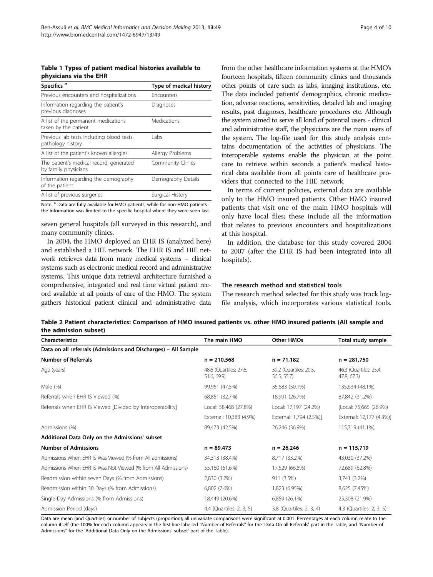<span id="page-3-0"></span>Table 1 Types of patient medical histories available to physicians via the EHR

| Specifics <sup>a</sup>                                          | Type of medical history  |
|-----------------------------------------------------------------|--------------------------|
| Previous encounters and hospitalizations                        | <b>Encounters</b>        |
| Information regarding the patient's<br>previous diagnoses       | Diagnoses                |
| A list of the permanent medications<br>taken by the patient     | Medications              |
| Previous lab tests including blood tests,<br>pathology history  | I abs                    |
| A list of the patient's known allergies                         | Allergy Problems         |
| The patient's medical record, generated<br>by family physicians | <b>Community Clinics</b> |
| Information regarding the demography<br>of the patient          | Demography Details       |
| A list of previous surgeries                                    | Surgical History         |

Note.<sup>a</sup> Data are fully available for HMO patients, while for non-HMO patients the information was limited to the specific hospital where they were seen last.

seven general hospitals (all surveyed in this research), and many community clinics.

In 2004, the HMO deployed an EHR IS (analyzed here) and established a HIE network. The EHR IS and HIE network retrieves data from many medical systems – clinical systems such as electronic medical record and administrative systems. This unique data retrieval architecture furnished a comprehensive, integrated and real time virtual patient record available at all points of care of the HMO. The system gathers historical patient clinical and administrative data

from the other healthcare information systems at the HMO's fourteen hospitals, fifteen community clinics and thousands other points of care such as labs, imaging institutions, etc. The data included patients' demographics, chronic medication, adverse reactions, sensitivities, detailed lab and imaging results, past diagnoses, healthcare procedures etc. Although the system aimed to serve all kind of potential users - clinical and administrative staff, the physicians are the main users of the system. The log-file used for this study analysis contains documentation of the activities of physicians. The interoperable systems enable the physician at the point care to retrieve within seconds a patient's medical historical data available from all points care of healthcare providers that connected to the HIE network.

In terms of current policies, external data are available only to the HMO insured patients. Other HMO insured patients that visit one of the main HMO hospitals will only have local files; these include all the information that relates to previous encounters and hospitalizations at this hospital.

In addition, the database for this study covered 2004 to 2007 (after the EHR IS had been integrated into all hospitals).

#### The research method and statistical tools

The research method selected for this study was track logfile analysis, which incorporates various statistical tools.

| Table 2 Patient characteristics: Comparison of HMO insured patients vs. other HMO insured patients (All sample and |  |  |  |  |  |
|--------------------------------------------------------------------------------------------------------------------|--|--|--|--|--|
| the admission subset)                                                                                              |  |  |  |  |  |

| <b>Characteristics</b>                                         | The main HMO                          | Other HMOs                           | Total study sample                    |
|----------------------------------------------------------------|---------------------------------------|--------------------------------------|---------------------------------------|
| Data on all referrals (Admissions and Discharges) - All Sample |                                       |                                      |                                       |
| <b>Number of Referrals</b>                                     | $n = 210,568$                         | $n = 71,182$                         | $n = 281,750$                         |
| Age (years)                                                    | 48.6 (Quartiles: 27.6,<br>51.6, 69.9) | 39.2 (Quartiles: 20.5,<br>36.5, 55.7 | 46.3 (Quartiles: 25.4,<br>47.8, 67.3) |
| Male (%)                                                       | 99,951 (47.5%)                        | 35,683 (50.1%)                       | 135,634 (48.1%)                       |
| Referrals when EHR IS Viewed (%)                               | 68,851 (32.7%)                        | 18,991 (26.7%)                       | 87,842 (31.2%)                        |
| Referrals when EHR IS Viewed [Divided by Interoperability]     | Local: 58,468 (27.8%)                 | Local: 17,197 (24.2%)                | [Local: 75,665 (26.9%)                |
|                                                                | External: 10,383 (4.9%)               | External: 1,794 (2.5%)]              | External: 12,177 (4.3%)]              |
| Admissions (%)                                                 | 89,473 (42.5%)                        | 26,246 (36.9%)                       | 115,719 (41.1%)                       |
| Additional Data Only on the Admissions' subset                 |                                       |                                      |                                       |
| <b>Number of Admissions</b>                                    | $n = 89,473$                          | $n = 26,246$                         | $n = 115,719$                         |
| Admissions When EHR IS Was Viewed (% from All admissions)      | 34,313 (38.4%)                        | 8,717 (33.2%)                        | 43,030 (37.2%)                        |
| Admissions When EHR IS Was Not Viewed (% from All Admissions)  | 55,160 (61.6%)                        | 17,529 (66.8%)                       | 72,689 (62.8%)                        |
| Readmission within seven Days (% from Admissions)              | 2,830 (3.2%)                          | 911 (3.5%)                           | 3,741 (3.2%)                          |
| Readmission within 30 Days (% from Admissions)                 | 6,802 (7.6%)                          | 1,823 (6.95%)                        | 8,625 (7.45%)                         |
| Single-Day Admissions (% from Admissions)                      | 18,449 (20.6%)                        | 6,859 (26.1%)                        | 25,308 (21.9%)                        |
| Admission Period (days)                                        | 4.4 (Quartiles: 2, 3, 5)              | 3.8 (Quartiles: 2, 3, 4)             | 4.3 (Quartiles: 2, 3, 5)              |

Data are mean (and Quartiles) or number of subjects (proportion); all univariate comparisons were significant at 0.001. Percentages at each column relate to the column itself (the 100% for each column appears in the first line labelled "Number of Referrals" for the 'Data On all Referrals' part in the Table, and "Number of Admissions" for the 'Additional Data Only on the Admissions' subset' part of the Table).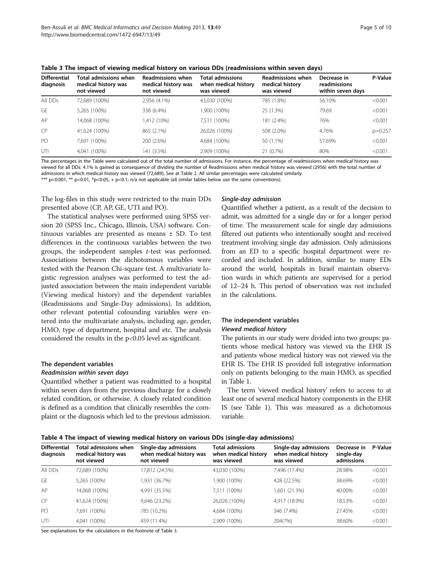| <b>Differential</b><br>diagnosis | <b>Total admissions when</b><br>medical history was<br>not viewed | <b>Readmissions when</b><br>medical history was<br>not viewed | <b>Total admissions</b><br>when medical history<br>was viewed | <b>Readmissions when</b><br>medical history<br>was viewed | Decrease in<br>readmissions<br>within seven days | P-Value   |
|----------------------------------|-------------------------------------------------------------------|---------------------------------------------------------------|---------------------------------------------------------------|-----------------------------------------------------------|--------------------------------------------------|-----------|
| All DDs                          | 72,689 (100%)                                                     | 2,956 (4.1%)                                                  | 43,030 (100%)                                                 | 785 (1.8%)                                                | 56.10%                                           | < 0.001   |
| GE                               | 5,265 (100%)                                                      | 338 (6.4%)                                                    | ,900 (100%)                                                   | 25 (1.3%)                                                 | 79.69                                            | < 0.001   |
| AP                               | 14,068 (100%)                                                     | 1,412 (10%)                                                   | 7,511 (100%)                                                  | 181 (2.4%)                                                | 76%                                              | < 0.001   |
| <b>CP</b>                        | 41,624 (100%)                                                     | 865 (2.1%)                                                    | 26,026 (100%)                                                 | 508 (2.0%)                                                | 4.76%                                            | $p=0.257$ |
| P <sub>O</sub>                   | 7,691 (100%)                                                      | 200 (2.6%)                                                    | 4,684 (100%)                                                  | 50 (1.1%)                                                 | 57.69%                                           | < 0.001   |
| UTI                              | 4,041 (100%)                                                      | 141 (3.5%)                                                    | 2,909 (100%)                                                  | 21 (0.7%)                                                 | 80%                                              | < 0.001   |

<span id="page-4-0"></span>Table 3 The impact of viewing medical history on various DDs (readmissions within seven days)

The percentages in the Table were calculated out of the total number of admissions. For instance, the percentage of readmissions when medical history was viewed for all DDs: 4.1% is gained as consequence of dividing the number of Readmissions when medical history was viewed (2956) with the total number of admissions in which medical history was viewed (72,689), See at Table [2](#page-3-0). All similar percentages were calculated similarly.

\*\*\* p<0.001, \*\* p<0.01, \*p<0.05, + p<0.1; n/a not applicable (all similar tables below use the same conventions).

The log-files in this study were restricted to the main DDs presented above (CP, AP, GE, UTI and PO).

The statistical analyses were performed using SPSS version 20 (SPSS Inc., Chicago, Illinois, USA) software. Continuous variables are presented as means ± SD. To test differences in the continuous variables between the two groups, the independent samples t-test was performed. Associations between the dichotomous variables were tested with the Pearson Chi-square test. A multivariate logistic regression analyses was performed to test the adjusted association between the main independent variable (Viewing medical history) and the dependent variables (Readmissions and Single-Day admissions). In addition, other relevant potential cofounding variables were entered into the multivariate analysis, including age, gender, HMO, type of department, hospital and etc. The analysis considered the results in the p<0.05 level as significant.

#### The dependent variables

#### Readmission within seven days

Quantified whether a patient was readmitted to a hospital within seven days from the previous discharge for a closely related condition, or otherwise. A closely related condition is defined as a condition that clinically resembles the complaint or the diagnosis which led to the previous admission.

#### Single-day admission

Quantified whether a patient, as a result of the decision to admit, was admitted for a single day or for a longer period of time. The measurement scale for single day admissions filtered out patients who intentionally sought and received treatment involving single day admission. Only admissions from an ED to a specific hospital department were recorded and included. In addition, similar to many EDs around the world, hospitals in Israel maintain observation wards in which patients are supervised for a period of 12–24 h. This period of observation was not included in the calculations.

# The independent variables

## Viewed medical history

The patients in our study were divided into two groups: patients whose medical history was viewed via the EHR IS and patients whose medical history was not viewed via the EHR IS. The EHR IS provided full integrative information only on patients belonging to the main HMO, as specified in Table [1](#page-3-0).

The term 'viewed medical history' refers to access to at least one of several medical history components in the EHR IS (see Table [1\)](#page-3-0). This was measured as a dichotomous variable.

|  |  | Table 4 The impact of viewing medical history on various DDs (single-day admissions) |
|--|--|--------------------------------------------------------------------------------------|
|--|--|--------------------------------------------------------------------------------------|

| <b>Differential</b><br>diagnosis | Total admissions when<br>medical history was<br>not viewed | Single-day admissions<br>when medical history was<br>not viewed | <b>Total admissions</b><br>when medical history<br>was viewed | Single-day admissions<br>when medical history<br>was viewed | Decrease in<br>single-day<br>admissions | P-Value |
|----------------------------------|------------------------------------------------------------|-----------------------------------------------------------------|---------------------------------------------------------------|-------------------------------------------------------------|-----------------------------------------|---------|
| All DDs                          | 72,689 (100%)                                              | 17,812 (24.5%)                                                  | 43,030 (100%)                                                 | 7,496 (17.4%)                                               | 28.98%                                  | < 0.001 |
| GE                               | 5,265 (100%)                                               | 1,931 (36.7%)                                                   | 1,900 (100%)                                                  | 428 (22.5%)                                                 | 38.69%                                  | < 0.001 |
| AP                               | 14,068 (100%)                                              | 4,991 (35.5%)                                                   | 7,511 (100%)                                                  | 1,601 (21.3%)                                               | 40.00%                                  | < 0.001 |
| CP                               | 41,624 (100%)                                              | 9,646 (23.2%)                                                   | 26,026 (100%)                                                 | 4,917 (18.9%)                                               | 18.53%                                  | < 0.001 |
| PO                               | 7,691 (100%)                                               | 785 (10.2%)                                                     | 4,684 (100%)                                                  | 346 (7.4%)                                                  | 27.45%                                  | < 0.001 |
| UTI                              | 4,041 (100%)                                               | 459 (11.4%)                                                     | 2,909 (100%)                                                  | 204(7%)                                                     | 38.60%                                  | < 0.001 |

See explanations for the calculations in the footnote of Table 3.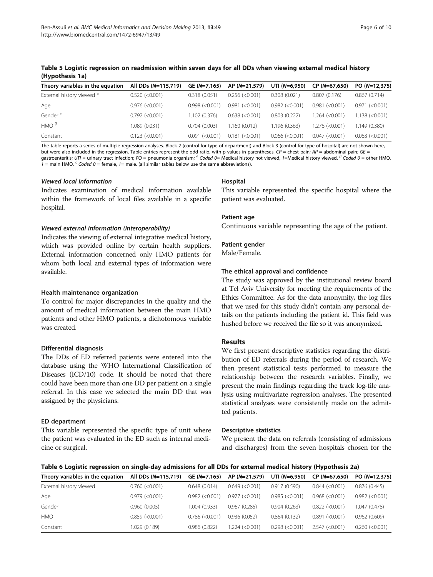<span id="page-5-0"></span>Table 5 Logistic regression on readmission within seven days for all DDs when viewing external medical history (Hypothesis 1a)

| Theory variables in the equation     | All DDs (N=115,719)  | GE (N=7,165)         | AP (N=21,579)        | UTI $(N=6.950)$      | $CP (N=67.650)$ | PO (N=12,375)        |
|--------------------------------------|----------------------|----------------------|----------------------|----------------------|-----------------|----------------------|
| External history viewed <sup>a</sup> | $0.520$ (< $0.001$ ) | 0.318(0.051)         | $0.256$ (< $0.001$ ) | 0.308(0.021)         | 0.807(0.176)    | 0.867(0.714)         |
| Age                                  | $0.976$ (< $0.001$ ) | $0.998$ (< $0.001$ ) | 0.981 (< 0.001)      | $0.982$ (< $0.001$ ) | 0.981 (< 0.001) | $0.971$ (< $0.001$ ) |
| Gender <sup>c</sup>                  | $0.792$ (< $0.001$ ) | 1.102 (0.376)        | $0.638$ (< $0.001$ ) | 0.803(0.222)         | 1.264 (< 0.001) | 1.138 (< 0.001)      |
| HMO <sup>β</sup>                     | 1.089 (0.031)        | 0.704(0.003)         | 1.160(0.012)         | 1.196 (0.363)        | 1.276 (< 0.001) | 1.149 (0.380)        |
| Constant                             | $0.123$ (< $0.001$ ) | 0.091 (< 0.001)      | 0.181 (< 0.001)      | $0.066$ (< $0.001$ ) | 0.047 (< 0.001) | $0.063$ (< $0.001$ ) |

The table reports a series of multiple regression analyses. Block 2 (control for type of department) and Block 3 (control for type of hospital) are not shown here, but were also included in the regression. Table entries represent the odd ratio, with p-values in parentheses.  $CP =$  chest pain;  $AP =$  abdominal pain;  $GE =$ aastroenteritis: UTI = urinary tract infection: PO = pneumonia organism:  $^a$  Coded 0= Medical history not viewed,  $I=$ Medical history viewed.  $^B$  Coded 0 = other HMO.  $1 =$  main HMO. <sup>c</sup> Coded  $0 =$  female,  $1 =$  male. (all similar tables below use the same abbreviations).

## Viewed local information

Indicates examination of medical information available within the framework of local files available in a specific hospital.

#### Viewed external information (interoperability)

Indicates the viewing of external integrative medical history, which was provided online by certain health suppliers. External information concerned only HMO patients for whom both local and external types of information were available.

#### Health maintenance organization

To control for major discrepancies in the quality and the amount of medical information between the main HMO patients and other HMO patients, a dichotomous variable was created.

## Differential diagnosis

The DDs of ED referred patients were entered into the database using the WHO International Classification of Diseases (ICD/10) code. It should be noted that there could have been more than one DD per patient on a single referral. In this case we selected the main DD that was assigned by the physicians.

#### ED department

This variable represented the specific type of unit where the patient was evaluated in the ED such as internal medicine or surgical.

#### **Hospital**

This variable represented the specific hospital where the patient was evaluated.

## Patient age

Continuous variable representing the age of the patient.

## Patient gender

Male/Female.

#### The ethical approval and confidence

The study was approved by the institutional review board at Tel Aviv University for meeting the requirements of the Ethics Committee. As for the data anonymity, the log files that we used for this study didn't contain any personal details on the patients including the patient id. This field was hushed before we received the file so it was anonymized.

## Results

We first present descriptive statistics regarding the distribution of ED referrals during the period of research. We then present statistical tests performed to measure the relationship between the research variables. Finally, we present the main findings regarding the track log-file analysis using multivariate regression analyses. The presented statistical analyses were consistently made on the admitted patients.

#### Descriptive statistics

We present the data on referrals (consisting of admissions and discharges) from the seven hospitals chosen for the

#### Table 6 Logistic regression on single-day admissions for all DDs for external medical history (Hypothesis 2a)

| Theory variables in the equation | All DDs (N=115,719)  | GE (N=7.165)         | AP (N=21.579)        | UTI $(N=6.950)$       | CP (N=67,650)        | PO (N=12,375)        |
|----------------------------------|----------------------|----------------------|----------------------|-----------------------|----------------------|----------------------|
| External history viewed          | $0.760$ (< $0.001$ ) | 0.648(0.014)         | $0.649$ (< $0.001$ ) | 0.917(0.590)          | 0.844 (< 0.001)      | 0.876(0.445)         |
| Age                              | $0.979$ (< $0.001$ ) | $0.982$ (< $0.001$ ) | $0.977 (< 0.001$ )   | $0.985$ ( $< 0.001$ ) | $0.968$ (< $0.001$ ) | $0.982$ (< $0.001$ ) |
| Gender                           | 0.960(0.005)         | 1.004 (0.933)        | 0.967(0.285)         | 0.904(0.263)          | $0.822$ (< $0.001$ ) | 1.047 (0.478)        |
| <b>HMO</b>                       | $0.859$ (< $0.001$ ) | $0.786$ (< $0.001$ ) | 0.936(0.052)         | 0.864(0.132)          | 0.891 (< 0.001)      | 0.962(0.609)         |
| Constant                         | 1.029 (0.189)        | 0.986(0.822)         | 1.224 (< 0.001)      | 0.298 (< 0.001)       | $2.547 (< 0.001$ )   | $0.260$ (< $0.001$ ) |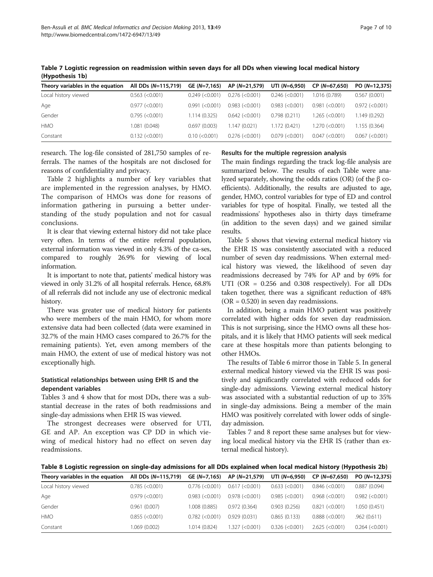| Theory variables in the equation | All DDs (N=115,719)  | GE (N=7,165)         | AP (N=21,579)        | UTI $(N=6.950)$      | CP (N=67,650)        | PO (N=12,375)        |
|----------------------------------|----------------------|----------------------|----------------------|----------------------|----------------------|----------------------|
| Local history viewed             | $0.563$ (< $0.001$ ) | $0.249$ (< $0.001$ ) | $0.276$ (< $0.001$ ) | $0.246$ (< $0.001$ ) | 1.016 (0.789)        | 0.567(0.001)         |
| Age                              | $0.977$ (< $0.001$ ) | 0.991 (< 0.001)      | $0.983$ (< $0.001$ ) | $0.983$ (< $0.001$ ) | 0.981 (< 0.001)      | $0.972$ (< $0.001$ ) |
| Gender                           | $0.795$ (< $0.001$ ) | 1.114(0.325)         | 0.642 (< 0.001)      | 0.798(0.211)         | $1.265$ (< $0.001$ ) | 1.149 (0.292)        |
| <b>HMO</b>                       | 1.081 (0.048)        | 0.697(0.003)         | 1.147(0.021)         | 1.172(0.421)         | 1.270 (< 0.001)      | 1.155 (0.364)        |
| Constant                         | $0.132$ (< $0.001$ ) | $0.10$ (< $0.001$ )  | $0.276$ (< $0.001$ ) | $0.079$ (< $0.001$ ) | 0.047 (< 0.001)      | $0.067$ (< $0.001$ ) |
|                                  |                      |                      |                      |                      |                      |                      |

<span id="page-6-0"></span>Table 7 Logistic regression on readmission within seven days for all DDs when viewing local medical history (Hypothesis 1b)

research. The log-file consisted of 281,750 samples of referrals. The names of the hospitals are not disclosed for reasons of confidentiality and privacy.

Table [2](#page-3-0) highlights a number of key variables that are implemented in the regression analyses, by HMO. The comparison of HMOs was done for reasons of information gathering in pursuing a better understanding of the study population and not for casual conclusions.

It is clear that viewing external history did not take place very often. In terms of the entire referral population, external information was viewed in only 4.3% of the ca-ses, compared to roughly 26.9% for viewing of local information.

It is important to note that, patients' medical history was viewed in only 31.2% of all hospital referrals. Hence, 68.8% of all referrals did not include any use of electronic medical history.

There was greater use of medical history for patients who were members of the main HMO, for whom more extensive data had been collected (data were examined in 32.7% of the main HMO cases compared to 26.7% for the remaining patients). Yet, even among members of the main HMO, the extent of use of medical history was not exceptionally high.

## Statistical relationships between using EHR IS and the dependent variables

Tables [3](#page-4-0) and [4](#page-4-0) show that for most DDs, there was a substantial decrease in the rates of both readmissions and single-day admissions when EHR IS was viewed.

The strongest decreases were observed for UTI, GE and AP. An exception was CP DD in which viewing of medical history had no effect on seven day readmissions.

## Results for the multiple regression analysis

The main findings regarding the track log-file analysis are summarized below. The results of each Table were analyzed separately, showing the odds ratios (OR) (of the β coefficients). Additionally, the results are adjusted to age, gender, HMO, control variables for type of ED and control variables for type of hospital. Finally, we tested all the readmissions' hypotheses also in thirty days timeframe (in addition to the seven days) and we gained similar results.

Table [5](#page-5-0) shows that viewing external medical history via the EHR IS was consistently associated with a reduced number of seven day readmissions. When external medical history was viewed, the likelihood of seven day readmissions decreased by 74% for AP and by 69% for UTI (OR = 0.256 and 0.308 respectively). For all DDs taken together, there was a significant reduction of 48%  $(OR = 0.520)$  in seven day readmissions.

In addition, being a main HMO patient was positively correlated with higher odds for seven day readmission. This is not surprising, since the HMO owns all these hospitals, and it is likely that HMO patients will seek medical care at these hospitals more than patients belonging to other HMOs.

The results of Table [6](#page-5-0) mirror those in Table [5.](#page-5-0) In general external medical history viewed via the EHR IS was positively and significantly correlated with reduced odds for single-day admissions. Viewing external medical history was associated with a substantial reduction of up to 35% in single-day admissions. Being a member of the main HMO was positively correlated with lower odds of singleday admission.

Tables 7 and 8 report these same analyses but for viewing local medical history via the EHR IS (rather than external medical history).

Table 8 Logistic regression on single-day admissions for all DDs explained when local medical history (Hypothesis 2b)

| Theory variables in the equation | All DDs (N=115,719)  | GE (N=7,165)         | AP (N=21.579)   | UTI $(N=6.950)$      | CP (N=67,650)        | PO (N=12,375)        |
|----------------------------------|----------------------|----------------------|-----------------|----------------------|----------------------|----------------------|
| Local history viewed             | $0.785$ (< $0.001$ ) | $0.776$ (< $0.001$ ) | 0.617 (< 0.001) | $0.633$ (< $0.001$ ) | $0.846$ (< $0.001$ ) | 0.887(0.094)         |
| Age                              | $0.979$ (< $0.001$ ) | $0.983$ (< $0.001$ ) | 0.978 (< 0.001) | $0.985$ (< $0.001$ ) | $0.968$ (< $0.001$ ) | $0.982$ (< $0.001$ ) |
| Gender                           | 0.961(0.007)         | 1.008 (0.885)        | 0.972(0.364)    | 0.903(0.256)         | $0.821$ (< $0.001$ ) | 1.050 (0.451)        |
| <b>HMO</b>                       | $0.855$ (< $0.001$ ) | $0.782$ (< $0.001$ ) | 0.929(0.031)    | 0.865(0.133)         | $0.888$ (< $0.001$ ) | .962(0.611)          |
| Constant                         | 1.069 (0.002)        | 1.014 (0.824)        | 1.327 (< 0.001) | $0.326$ (< $0.001$ ) | 2.625 (< 0.001)      | 0.264 (< 0.001)      |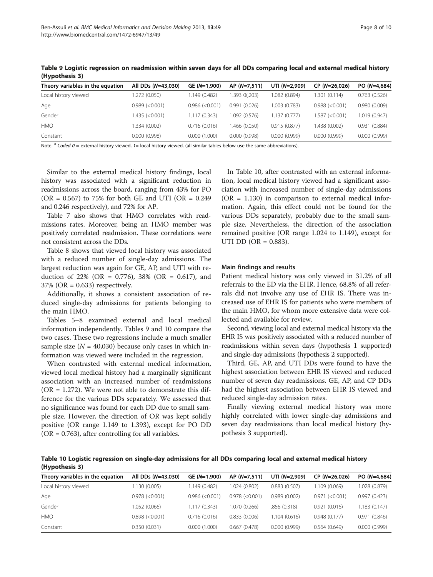| $(11)$ Pounds $J$                |                      |                      |                |                 |                      |               |  |
|----------------------------------|----------------------|----------------------|----------------|-----------------|----------------------|---------------|--|
| Theory variables in the equation | All DDs (N=43,030)   | GE (N=1,900)         | $AP (N=7.511)$ | UTI $(N=2.909)$ | $CP (N=26.026)$      | PO (N=4,684)  |  |
| Local history viewed             | 1.272 (0.050)        | 1.149 (0.482)        | 1.393 0(.203)  | 1.082 (0.894)   | 1.301 (0.114)        | 0.763(0.526)  |  |
| Age                              | $0.989$ (< $0.001$ ) | $0.986$ (< $0.001$ ) | 0.991(0.026)   | 1.003 (0.783)   | $0.988$ (< $0.001$ ) | 0.980(0.009)  |  |
| Gender                           | $1.435$ (< $0.001$ ) | 1.117(0.343)         | 1.092 (0.576)  | 1.137(0.777)    | 1.587 (<0.001)       | 1.019 (0.947) |  |
| <b>HMO</b>                       | 1.334 (0.002)        | 0.716(0.016)         | 1.466 (0.050)  | 0.915(0.877)    | 1.438 (0.002)        | 0.931(0.884)  |  |
| Constant                         | 0.000(0.998)         | 0.000(1.000)         | 0.000(0.998)   | 0.000(0.999)    | 0.000(0.999)         | 0.000(0.999)  |  |

Table 9 Logistic regression on readmission within seven days for all DDs comparing local and external medical history (Hypothesis 3)

Note.  $a$  Coded  $0$  = external history viewed,  $1$  = local history viewed. (all similar tables below use the same abbreviations).

Similar to the external medical history findings, local history was associated with a significant reduction in readmissions across the board, ranging from 43% for PO  $(OR = 0.567)$  to 75% for both GE and UTI  $(OR = 0.249)$ and 0.246 respectively), and 72% for AP.

Table [7](#page-6-0) also shows that HMO correlates with readmissions rates. Moreover, being an HMO member was positively correlated readmission. These correlations were not consistent across the DDs.

Table [8](#page-6-0) shows that viewed local history was associated with a reduced number of single-day admissions. The largest reduction was again for GE, AP, and UTI with reduction of 22% (OR = 0.776), 38% (OR = 0.617), and  $37\%$  (OR = 0.633) respectively.

Additionally, it shows a consistent association of reduced single-day admissions for patients belonging to the main HMO.

Tables [5](#page-5-0)–[8](#page-6-0) examined external and local medical information independently. Tables 9 and 10 compare the two cases. These two regressions include a much smaller sample size  $(N = 40,030)$  because only cases in which information was viewed were included in the regression.

When contrasted with external medical information, viewed local medical history had a marginally significant association with an increased number of readmissions  $(OR = 1.272)$ . We were not able to demonstrate this difference for the various DDs separately. We assessed that no significance was found for each DD due to small sample size. However, the direction of OR was kept solidly positive (OR range 1.149 to 1.393), except for PO DD  $(OR = 0.763)$ , after controlling for all variables.

In Table 10, after contrasted with an external information, local medical history viewed had a significant association with increased number of single-day admissions  $(OR = 1.130)$  in comparison to external medical information. Again, this effect could not be found for the various DDs separately, probably due to the small sample size. Nevertheless, the direction of the association remained positive (OR range 1.024 to 1.149), except for UTI DD (OR =  $0.883$ ).

#### Main findings and results

Patient medical history was only viewed in 31.2% of all referrals to the ED via the EHR. Hence, 68.8% of all referrals did not involve any use of EHR IS. There was increased use of EHR IS for patients who were members of the main HMO, for whom more extensive data were collected and available for review.

Second, viewing local and external medical history via the EHR IS was positively associated with a reduced number of readmissions within seven days (hypothesis 1 supported) and single-day admissions (hypothesis 2 supported).

Third, GE, AP, and UTI DDs were found to have the highest association between EHR IS viewed and reduced number of seven day readmissions. GE, AP, and CP DDs had the highest association between EHR IS viewed and reduced single-day admission rates.

Finally viewing external medical history was more highly correlated with lower single-day admissions and seven day readmissions than local medical history (hypothesis 3 supported).

Table 10 Logistic regression on single-day admissions for all DDs comparing local and external medical history (Hypothesis 3)

| Theory variables in the equation | All DDs (N=43,030)   | GE (N=1,900)         | $AP (N=7.511)$  | UTI $(N=2.909)$ | $CP (N=26.026)$ | PO $(N=4.684)$ |
|----------------------------------|----------------------|----------------------|-----------------|-----------------|-----------------|----------------|
| Local history viewed             | 1.130 (0.005)        | 1.149 (0.482)        | 1.024 (0.802)   | 0.883(0.507)    | 1.109 (0.069)   | 1.028 (0.879)  |
| Age                              | $0.978$ (< $0.001$ ) | $0.986$ (< $0.001$ ) | 0.978 (< 0.001) | 0.989(0.002)    | 0.971 (< 0.001) | 0.997(0.423)   |
| Gender                           | 1.052 (0.066)        | 1.117(0.343)         | 1.070 (0.266)   | .856 (0.318)    | 0.921(0.016)    | 1.183(0.147)   |
| <b>HMO</b>                       | $0.898$ (< $0.001$ ) | 0.716(0.016)         | 0.833(0.006)    | .104(0.616)     | 0.948(0.177)    | 0.971(0.846)   |
| Constant                         | 0.350(0.031)         | 0.000(1.000)         | 0.667(0.478)    | 0.000(0.999)    | 0.564(0.649)    | 0.000(0.999)   |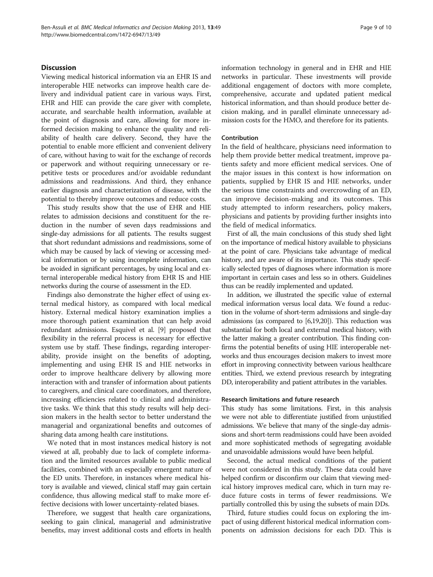## Discussion

Viewing medical historical information via an EHR IS and interoperable HIE networks can improve health care delivery and individual patient care in various ways. First, EHR and HIE can provide the care giver with complete, accurate, and searchable health information, available at the point of diagnosis and care, allowing for more informed decision making to enhance the quality and reliability of health care delivery. Second, they have the potential to enable more efficient and convenient delivery of care, without having to wait for the exchange of records or paperwork and without requiring unnecessary or repetitive tests or procedures and/or avoidable redundant admissions and readmissions. And third, they enhance earlier diagnosis and characterization of disease, with the potential to thereby improve outcomes and reduce costs.

This study results show that the use of EHR and HIE relates to admission decisions and constituent for the reduction in the number of seven days readmissions and single-day admissions for all patients. The results suggest that short redundant admissions and readmissions, some of which may be caused by lack of viewing or accessing medical information or by using incomplete information, can be avoided in significant percentages, by using local and external interoperable medical history from EHR IS and HIE networks during the course of assessment in the ED.

Findings also demonstrate the higher effect of using external medical history, as compared with local medical history. External medical history examination implies a more thorough patient examination that can help avoid redundant admissions. Esquivel et al. [\[9](#page-9-0)] proposed that flexibility in the referral process is necessary for effective system use by staff. These findings, regarding interoperability, provide insight on the benefits of adopting, implementing and using EHR IS and HIE networks in order to improve healthcare delivery by allowing more interaction with and transfer of information about patients to caregivers, and clinical care coordinators, and therefore, increasing efficiencies related to clinical and administrative tasks. We think that this study results will help decision makers in the health sector to better understand the managerial and organizational benefits and outcomes of sharing data among health care institutions.

We noted that in most instances medical history is not viewed at all, probably due to lack of complete information and the limited resources available to public medical facilities, combined with an especially emergent nature of the ED units. Therefore, in instances where medical history is available and viewed, clinical staff may gain certain confidence, thus allowing medical staff to make more effective decisions with lower uncertainty-related biases.

Therefore, we suggest that health care organizations, seeking to gain clinical, managerial and administrative benefits, may invest additional costs and efforts in health information technology in general and in EHR and HIE networks in particular. These investments will provide additional engagement of doctors with more complete, comprehensive, accurate and updated patient medical historical information, and than should produce better decision making, and in parallel eliminate unnecessary admission costs for the HMO, and therefore for its patients.

#### Contribution

In the field of healthcare, physicians need information to help them provide better medical treatment, improve patients safety and more efficient medical services. One of the major issues in this context is how information on patients, supplied by EHR IS and HIE networks, under the serious time constraints and overcrowding of an ED, can improve decision-making and its outcomes. This study attempted to inform researchers, policy makers, physicians and patients by providing further insights into the field of medical informatics.

First of all, the main conclusions of this study shed light on the importance of medical history available to physicians at the point of care. Physicians take advantage of medical history, and are aware of its importance. This study specifically selected types of diagnoses where information is more important in certain cases and less so in others. Guidelines thus can be readily implemented and updated.

In addition, we illustrated the specific value of external medical information versus local data. We found a reduction in the volume of short-term admissions and single-day admissions (as compared to [[6,19,20](#page-9-0)]). This reduction was substantial for both local and external medical history, with the latter making a greater contribution. This finding confirms the potential benefits of using HIE interoperable networks and thus encourages decision makers to invest more effort in improving connectivity between various healthcare entities. Third, we extend previous research by integrating DD, interoperability and patient attributes in the variables.

#### Research limitations and future research

This study has some limitations. First, in this analysis we were not able to differentiate justified from unjustified admissions. We believe that many of the single-day admissions and short-term readmissions could have been avoided and more sophisticated methods of segregating avoidable and unavoidable admissions would have been helpful.

Second, the actual medical conditions of the patient were not considered in this study. These data could have helped confirm or disconfirm our claim that viewing medical history improves medical care, which in turn may reduce future costs in terms of fewer readmissions. We partially controlled this by using the subsets of main DDs.

Third, future studies could focus on exploring the impact of using different historical medical information components on admission decisions for each DD. This is